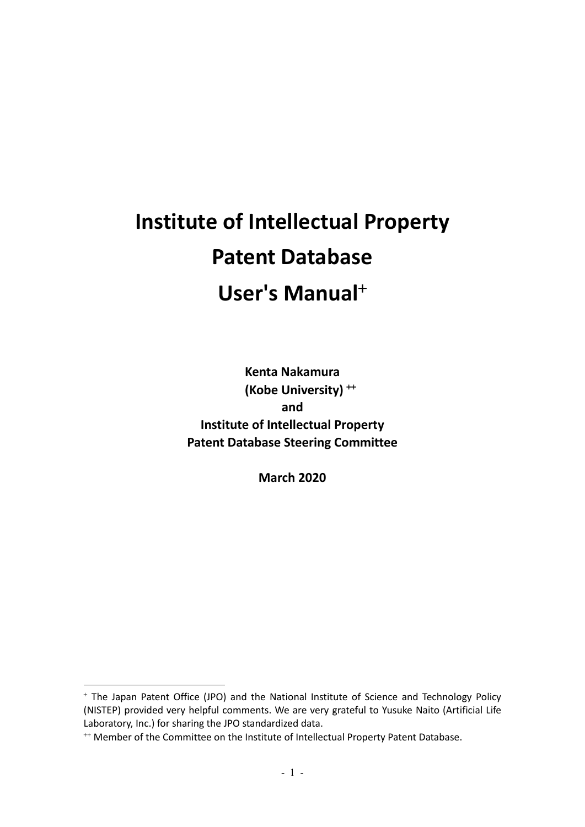# **Institute of Intellectual Property Patent Database User's Manual**<sup>+</sup>

**Kenta Nakamura (Kobe University)** ++ **and Institute of Intellectual Property Patent Database Steering Committee**

**March 2020**

<sup>+</sup> The Japan Patent Office (JPO) and the National Institute of Science and Technology Policy (NISTEP) provided very helpful comments. We are very grateful to Yusuke Naito (Artificial Life Laboratory, Inc.) for sharing the JPO standardized data.

<sup>&</sup>lt;sup>++</sup> Member of the Committee on the Institute of Intellectual Property Patent Database.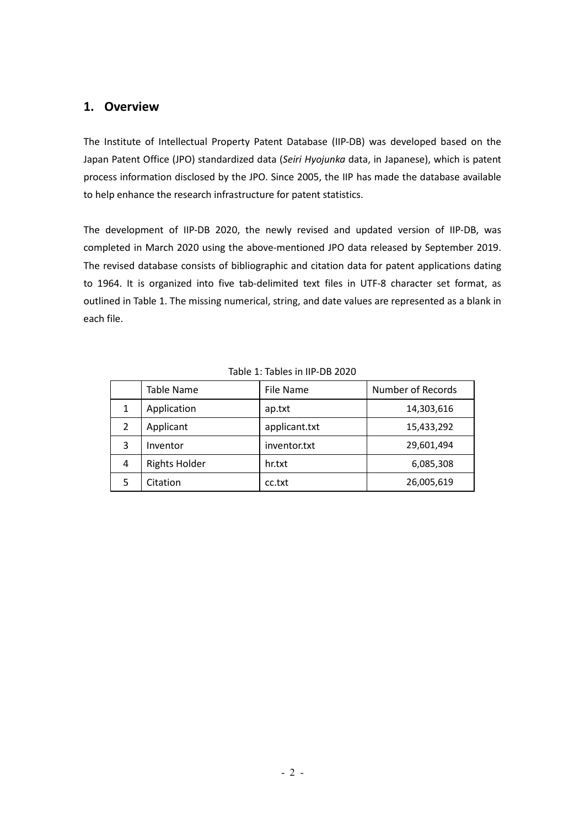# **1. Overview**

The Institute of Intellectual Property Patent Database (IIP-DB) was developed based on the Japan Patent Office (JPO) standardized data (*Seiri Hyojunka* data, in Japanese), which is patent process information disclosed by the JPO. Since 2005, the IIP has made the database available to help enhance the research infrastructure for patent statistics.

The development of IIP-DB 2020, the newly revised and updated version of IIP-DB, was completed in March 2020 using the above-mentioned JPO data released by September 2019. The revised database consists of bibliographic and citation data for patent applications dating to 1964. It is organized into five tab-delimited text files in UTF-8 character set format, as outlined in Table 1. The missing numerical, string, and date values are represented as a blank in each file.

|                | <b>Table Name</b>    | File Name     | <b>Number of Records</b> |
|----------------|----------------------|---------------|--------------------------|
| 1              | Application          | ap.txt        | 14,303,616               |
| $\overline{2}$ | Applicant            | applicant.txt | 15,433,292               |
| 3              | Inventor             | inventor.txt  | 29,601,494               |
| 4              | <b>Rights Holder</b> | hr.txt        | 6,085,308                |
|                | Citation             | cc.txt        | 26,005,619               |

#### Table 1: Tables in IIP-DB 2020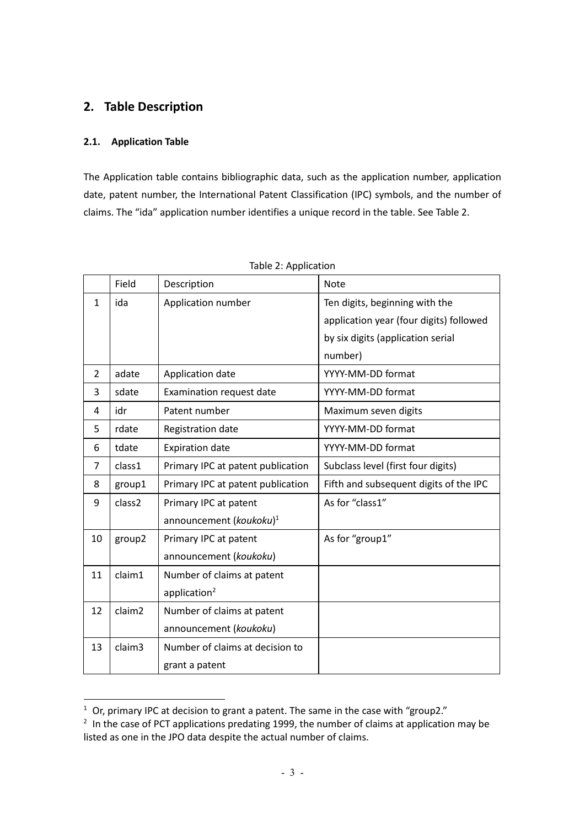# **2. Table Description**

### **2.1. Application Table**

The Application table contains bibliographic data, such as the application number, application date, patent number, the International Patent Classification (IPC) symbols, and the number of claims. The "ida" application number identifies a unique record in the table. See Table 2.

|              | Field              | Description                         | <b>Note</b>                             |  |
|--------------|--------------------|-------------------------------------|-----------------------------------------|--|
| $\mathbf{1}$ | ida                | Application number                  | Ten digits, beginning with the          |  |
|              |                    |                                     | application year (four digits) followed |  |
|              |                    |                                     | by six digits (application serial       |  |
|              |                    |                                     | number)                                 |  |
| 2            | adate              | Application date                    | YYYY-MM-DD format                       |  |
| 3            | sdate              | <b>Examination request date</b>     | YYYY-MM-DD format                       |  |
| 4            | idr                | Patent number                       | Maximum seven digits                    |  |
| 5            | rdate              | Registration date                   | YYYY-MM-DD format                       |  |
| 6            | tdate              | <b>Expiration date</b>              | YYYY-MM-DD format                       |  |
| 7            | class1             | Primary IPC at patent publication   | Subclass level (first four digits)      |  |
| 8            | group1             | Primary IPC at patent publication   | Fifth and subsequent digits of the IPC  |  |
| 9            | class2             | Primary IPC at patent               | As for "class1"                         |  |
|              |                    | announcement (koukoku) <sup>1</sup> |                                         |  |
| 10           | group2             | Primary IPC at patent               | As for "group1"                         |  |
|              |                    | announcement (koukoku)              |                                         |  |
| 11           | claim1             | Number of claims at patent          |                                         |  |
|              |                    | application <sup>2</sup>            |                                         |  |
| 12           | claim <sub>2</sub> | Number of claims at patent          |                                         |  |
|              |                    | announcement (koukoku)              |                                         |  |
| 13           | claim <sub>3</sub> | Number of claims at decision to     |                                         |  |
|              |                    | grant a patent                      |                                         |  |

|  | Table 2: Application |
|--|----------------------|
|  |                      |

 $\overline{1}$  Or, primary IPC at decision to grant a patent. The same in the case with "group2."

<sup>&</sup>lt;sup>2</sup> In the case of PCT applications predating 1999, the number of claims at application may be listed as one in the JPO data despite the actual number of claims.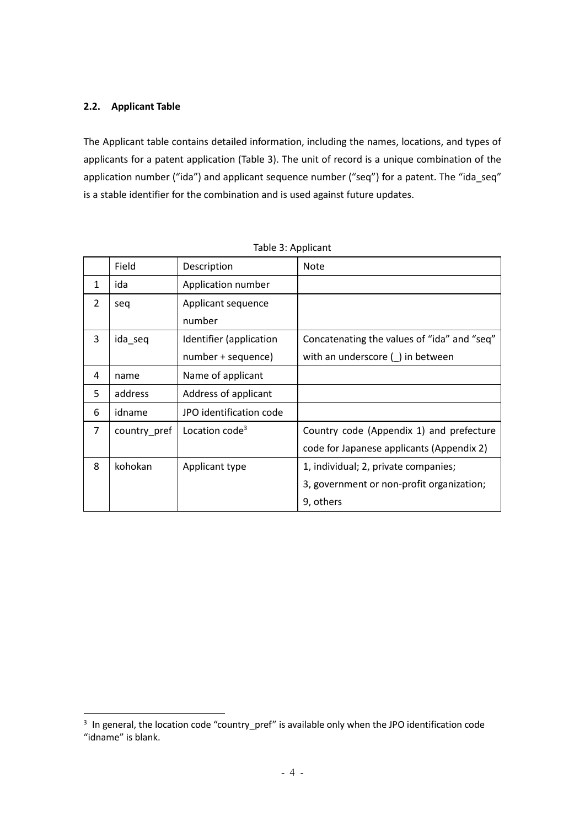#### **2.2. Applicant Table**

The Applicant table contains detailed information, including the names, locations, and types of applicants for a patent application (Table 3). The unit of record is a unique combination of the application number ("ida") and applicant sequence number ("seq") for a patent. The "ida\_seq" is a stable identifier for the combination and is used against future updates.

|                | Field        | Description                | <b>Note</b>                                 |
|----------------|--------------|----------------------------|---------------------------------------------|
| 1              | ida          | Application number         |                                             |
| $\overline{2}$ | seq          | Applicant sequence         |                                             |
|                |              | number                     |                                             |
| 3              | ida_seq      | Identifier (application    | Concatenating the values of "ida" and "seq" |
|                |              | number + sequence)         | with an underscore () in between            |
| 4              | name         | Name of applicant          |                                             |
| 5              | address      | Address of applicant       |                                             |
| 6              | idname       | JPO identification code    |                                             |
| $\overline{7}$ | country pref | Location code <sup>3</sup> | Country code (Appendix 1) and prefecture    |
|                |              |                            | code for Japanese applicants (Appendix 2)   |
| 8              | kohokan      | Applicant type             | 1, individual; 2, private companies;        |
|                |              |                            | 3, government or non-profit organization;   |
|                |              |                            | 9, others                                   |

<sup>&</sup>lt;sup>3</sup> In general, the location code "country\_pref" is available only when the JPO identification code "idname" is blank.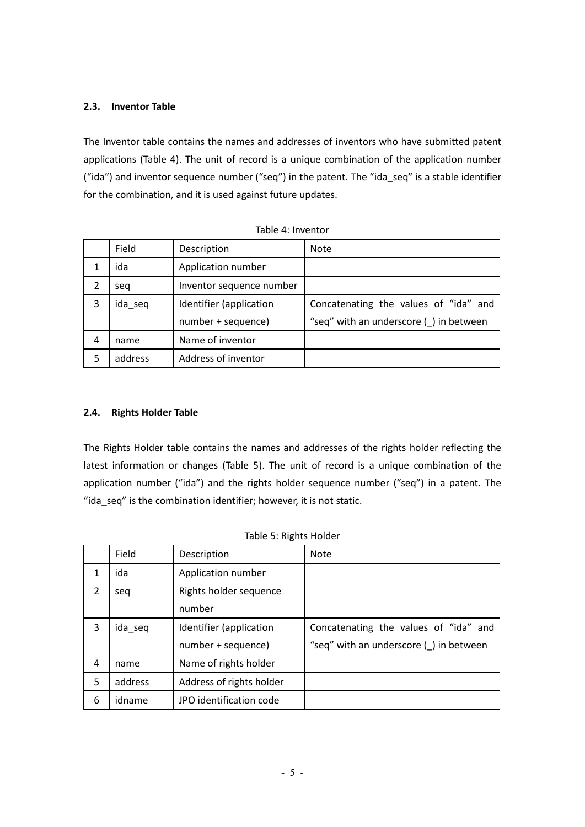#### **2.3. Inventor Table**

The Inventor table contains the names and addresses of inventors who have submitted patent applications (Table 4). The unit of record is a unique combination of the application number ("ida") and inventor sequence number ("seq") in the patent. The "ida\_seq" is a stable identifier for the combination, and it is used against future updates.

|   | Field   | Description              | <b>Note</b>                            |
|---|---------|--------------------------|----------------------------------------|
|   | ida     | Application number       |                                        |
| 2 | sea     | Inventor sequence number |                                        |
| 3 | ida_seq | Identifier (application  | Concatenating the values of "ida" and  |
|   |         | number + sequence)       | "seq" with an underscore () in between |
| 4 | name    | Name of inventor         |                                        |
| 5 | address | Address of inventor      |                                        |

|  | Table 4: Inventor |
|--|-------------------|
|  |                   |

#### **2.4. Rights Holder Table**

The Rights Holder table contains the names and addresses of the rights holder reflecting the latest information or changes (Table 5). The unit of record is a unique combination of the application number ("ida") and the rights holder sequence number ("seq") in a patent. The "ida\_seq" is the combination identifier; however, it is not static.

|   | Field   | Description              | <b>Note</b>                                |
|---|---------|--------------------------|--------------------------------------------|
| 1 | ida     | Application number       |                                            |
| 2 | seq     | Rights holder sequence   |                                            |
|   |         | number                   |                                            |
| 3 | ida_seq | Identifier (application  | Concatenating the values of "ida" and      |
|   |         | number + sequence)       | "seq" with an underscore $(\_)$ in between |
| 4 | name    | Name of rights holder    |                                            |
| 5 | address | Address of rights holder |                                            |
| 6 | idname  | JPO identification code  |                                            |

|  | Table 5: Rights Holder |
|--|------------------------|
|--|------------------------|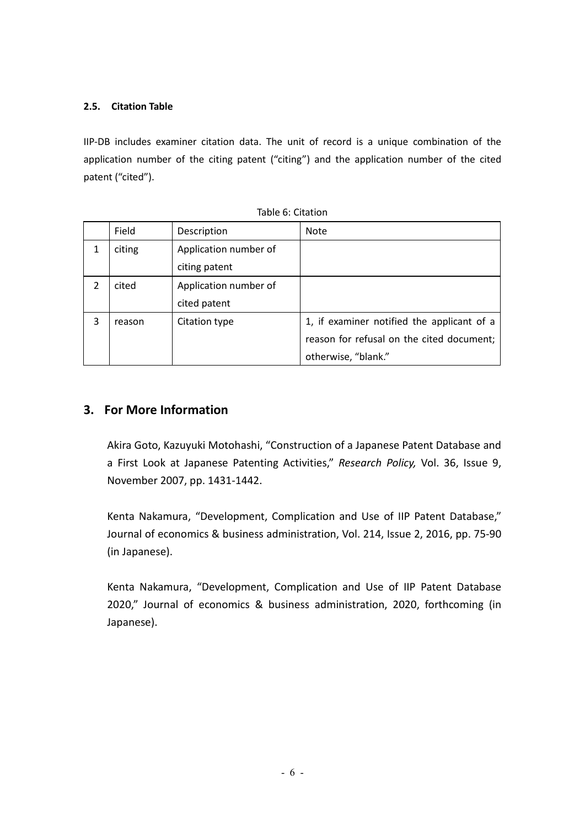## **2.5. Citation Table**

IIP-DB includes examiner citation data. The unit of record is a unique combination of the application number of the citing patent ("citing") and the application number of the cited patent ("cited").

|                | Field  | Description           | <b>Note</b>                                |
|----------------|--------|-----------------------|--------------------------------------------|
|                | citing | Application number of |                                            |
|                |        | citing patent         |                                            |
| $\overline{2}$ | cited  | Application number of |                                            |
|                |        | cited patent          |                                            |
| 3              | reason | Citation type         | 1, if examiner notified the applicant of a |
|                |        |                       | reason for refusal on the cited document;  |
|                |        |                       | otherwise, "blank."                        |

Table 6: Citation

# **3. For More Information**

Akira Goto, Kazuyuki Motohashi, "Construction of a Japanese Patent Database and a First Look at Japanese Patenting Activities," *Research Policy,* Vol. 36, Issue 9, November 2007, pp. 1431-1442.

Kenta Nakamura, "Development, Complication and Use of IIP Patent Database," Journal of economics & business administration, Vol. 214, Issue 2, 2016, pp. 75-90 (in Japanese).

Kenta Nakamura, "Development, Complication and Use of IIP Patent Database 2020," Journal of economics & business administration, 2020, forthcoming (in Japanese).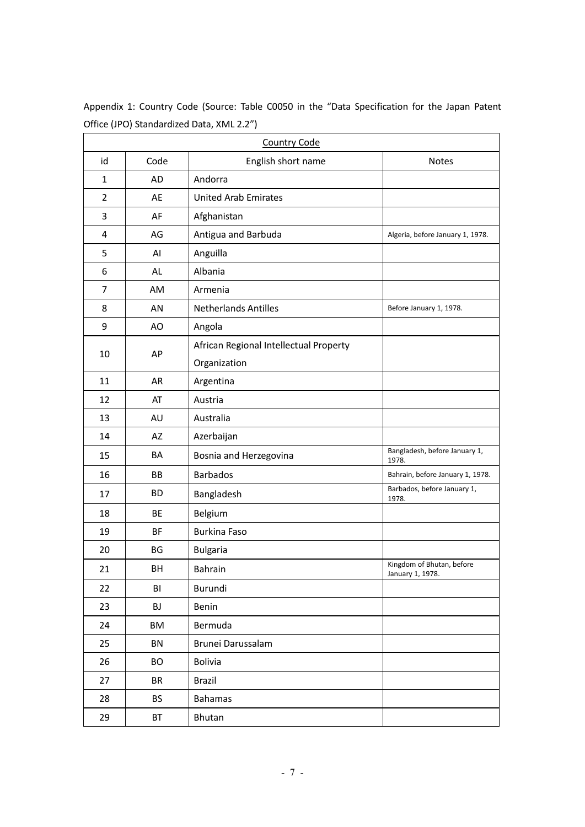| <b>Country Code</b> |           |                                        |                                               |
|---------------------|-----------|----------------------------------------|-----------------------------------------------|
| id                  | Code      | English short name                     | <b>Notes</b>                                  |
| $\mathbf{1}$        | AD        | Andorra                                |                                               |
| 2                   | AE        | <b>United Arab Emirates</b>            |                                               |
| 3                   | AF        | Afghanistan                            |                                               |
| 4                   | AG        | Antigua and Barbuda                    | Algeria, before January 1, 1978.              |
| 5                   | AI        | Anguilla                               |                                               |
| 6                   | AL        | Albania                                |                                               |
| 7                   | AM        | Armenia                                |                                               |
| 8                   | AN        | <b>Netherlands Antilles</b>            | Before January 1, 1978.                       |
| 9                   | AO        | Angola                                 |                                               |
| 10                  | AP        | African Regional Intellectual Property |                                               |
|                     |           | Organization                           |                                               |
| 11                  | AR        | Argentina                              |                                               |
| 12                  | AT        | Austria                                |                                               |
| 13                  | AU        | Australia                              |                                               |
| 14                  | AZ        | Azerbaijan                             |                                               |
| 15                  | BA        | Bosnia and Herzegovina                 | Bangladesh, before January 1,<br>1978.        |
| 16                  | BB        | <b>Barbados</b>                        | Bahrain, before January 1, 1978.              |
| 17                  | <b>BD</b> | Bangladesh                             | Barbados, before January 1,<br>1978.          |
| 18                  | BE        | Belgium                                |                                               |
| 19                  | <b>BF</b> | <b>Burkina Faso</b>                    |                                               |
| 20                  | BG        | <b>Bulgaria</b>                        |                                               |
| 21                  | BH        | <b>Bahrain</b>                         | Kingdom of Bhutan, before<br>January 1, 1978. |
| 22                  | BI        | Burundi                                |                                               |
| 23                  | BJ        | Benin                                  |                                               |
| 24                  | BM        | Bermuda                                |                                               |
| 25                  | BN        | Brunei Darussalam                      |                                               |
| 26                  | <b>BO</b> | Bolivia                                |                                               |
| 27                  | BR        | <b>Brazil</b>                          |                                               |
| 28                  | <b>BS</b> | <b>Bahamas</b>                         |                                               |
| 29                  | BT        | Bhutan                                 |                                               |

Appendix 1: Country Code (Source: Table C0050 in the "Data Specification for the Japan Patent Office (JPO) Standardized Data, XML 2.2")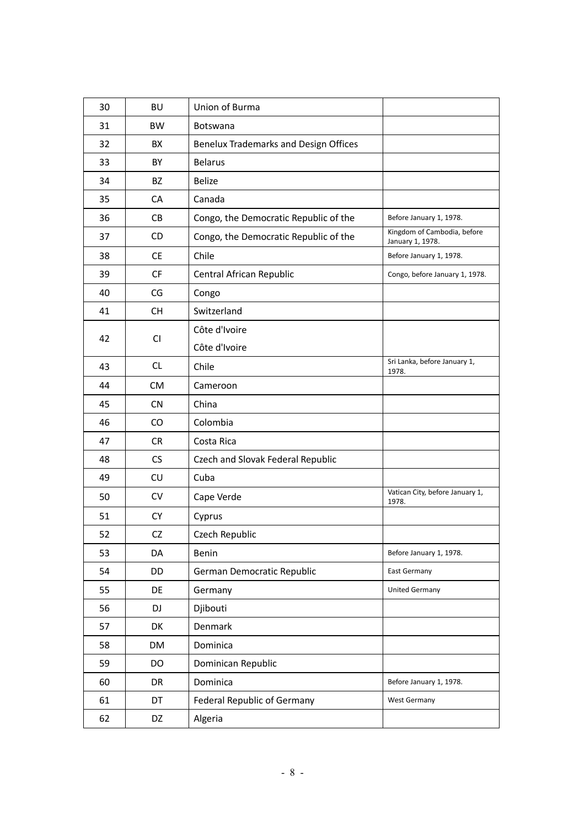| 30 | <b>BU</b> | Union of Burma                        |                                                 |
|----|-----------|---------------------------------------|-------------------------------------------------|
| 31 | <b>BW</b> | Botswana                              |                                                 |
| 32 | <b>BX</b> | Benelux Trademarks and Design Offices |                                                 |
| 33 | BY        | <b>Belarus</b>                        |                                                 |
| 34 | BZ        | <b>Belize</b>                         |                                                 |
| 35 | CA        | Canada                                |                                                 |
| 36 | CB        | Congo, the Democratic Republic of the | Before January 1, 1978.                         |
| 37 | CD        | Congo, the Democratic Republic of the | Kingdom of Cambodia, before<br>January 1, 1978. |
| 38 | <b>CE</b> | Chile                                 | Before January 1, 1978.                         |
| 39 | <b>CF</b> | Central African Republic              | Congo, before January 1, 1978.                  |
| 40 | CG        | Congo                                 |                                                 |
| 41 | <b>CH</b> | Switzerland                           |                                                 |
| 42 | CI        | Côte d'Ivoire                         |                                                 |
|    |           | Côte d'Ivoire                         |                                                 |
| 43 | CL        | Chile                                 | Sri Lanka, before January 1,<br>1978.           |
| 44 | <b>CM</b> | Cameroon                              |                                                 |
| 45 | <b>CN</b> | China                                 |                                                 |
| 46 | CO        | Colombia                              |                                                 |
| 47 | <b>CR</b> | Costa Rica                            |                                                 |
| 48 | CS        | Czech and Slovak Federal Republic     |                                                 |
| 49 | CU        | Cuba                                  |                                                 |
| 50 | CV        | Cape Verde                            | Vatican City, before January 1,<br>1978.        |
| 51 | <b>CY</b> | Cyprus                                |                                                 |
| 52 | CZ        | Czech Republic                        |                                                 |
| 53 | DA        | Benin                                 | Before January 1, 1978.                         |
| 54 | DD        | German Democratic Republic            | East Germany                                    |
| 55 | DE        | Germany                               | <b>United Germany</b>                           |
| 56 | DJ        | Djibouti                              |                                                 |
| 57 | DK        | Denmark                               |                                                 |
| 58 | DM        | Dominica                              |                                                 |
| 59 | DO        | Dominican Republic                    |                                                 |
| 60 | DR        | Dominica                              | Before January 1, 1978.                         |
| 61 | DT        | <b>Federal Republic of Germany</b>    | <b>West Germany</b>                             |
| 62 | DZ        | Algeria                               |                                                 |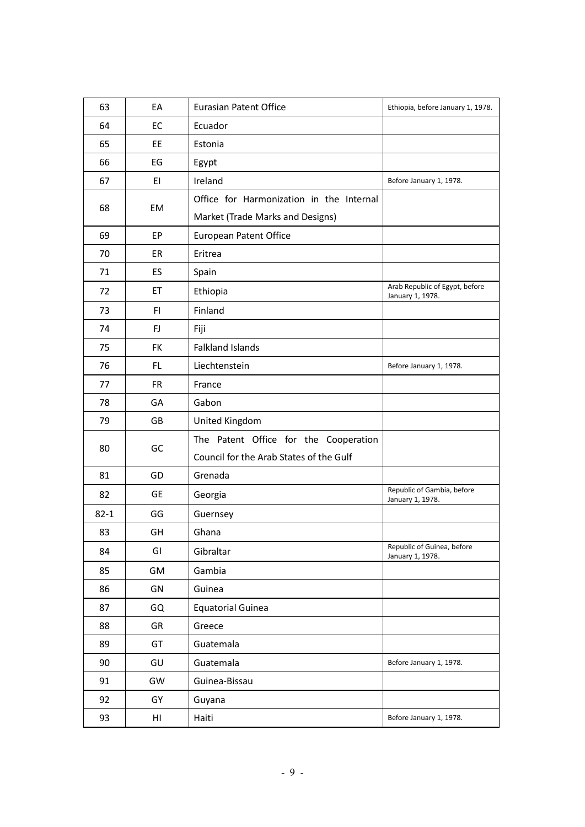| 63       | EA        | <b>Eurasian Patent Office</b>            | Ethiopia, before January 1, 1978.                  |
|----------|-----------|------------------------------------------|----------------------------------------------------|
| 64       | EC        | Ecuador                                  |                                                    |
| 65       | EE        | Estonia                                  |                                                    |
| 66       | EG        | Egypt                                    |                                                    |
| 67       | EI        | Ireland                                  | Before January 1, 1978.                            |
| 68       | EM        | Office for Harmonization in the Internal |                                                    |
|          |           | Market (Trade Marks and Designs)         |                                                    |
| 69       | EP        | European Patent Office                   |                                                    |
| 70       | ER        | Eritrea                                  |                                                    |
| 71       | ES        | Spain                                    |                                                    |
| 72       | ET        | Ethiopia                                 | Arab Republic of Egypt, before<br>January 1, 1978. |
| 73       | FI.       | Finland                                  |                                                    |
| 74       | FJ        | Fiji                                     |                                                    |
| 75       | FK        | <b>Falkland Islands</b>                  |                                                    |
| 76       | FL.       | Liechtenstein                            | Before January 1, 1978.                            |
| 77       | <b>FR</b> | France                                   |                                                    |
| 78       | GA        | Gabon                                    |                                                    |
| 79       | GB        | United Kingdom                           |                                                    |
| 80       | GC        | The Patent Office for the Cooperation    |                                                    |
|          |           | Council for the Arab States of the Gulf  |                                                    |
| 81       | GD        | Grenada                                  |                                                    |
| 82       | <b>GE</b> | Georgia                                  | Republic of Gambia, before<br>January 1, 1978.     |
| $82 - 1$ | GG        | Guernsey                                 |                                                    |
| 83       | GH        | Ghana                                    |                                                    |
| 84       | GI        | Gibraltar                                | Republic of Guinea, before<br>January 1, 1978.     |
| 85       | GM        | Gambia                                   |                                                    |
| 86       | GN        | Guinea                                   |                                                    |
| 87       | GQ        | <b>Equatorial Guinea</b>                 |                                                    |
| 88       | GR        | Greece                                   |                                                    |
| 89       | GT        | Guatemala                                |                                                    |
| 90       | GU        | Guatemala                                | Before January 1, 1978.                            |
| 91       | GW        | Guinea-Bissau                            |                                                    |
| 92       | GY        | Guyana                                   |                                                    |
| 93       | HI        | Haiti                                    | Before January 1, 1978.                            |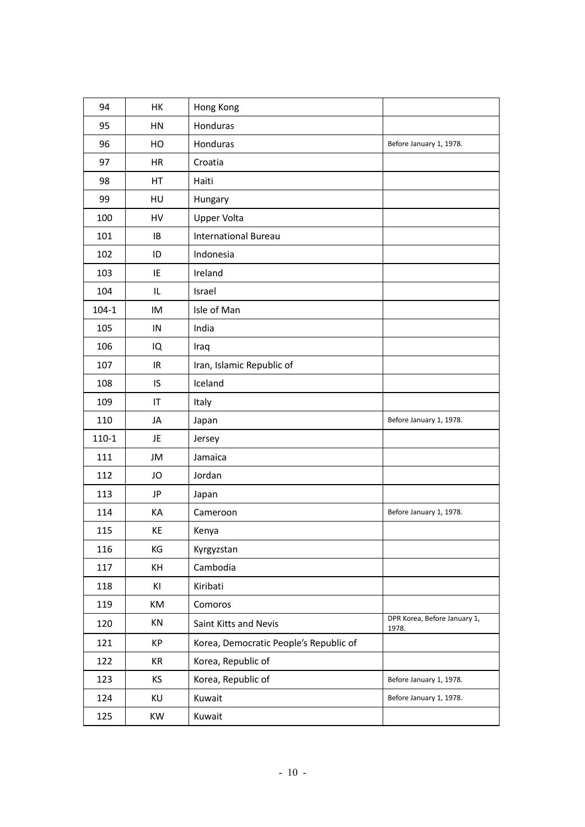| 94        | HK        | Hong Kong                              |                                       |
|-----------|-----------|----------------------------------------|---------------------------------------|
| 95        | HN        | Honduras                               |                                       |
| 96        | HO        | Honduras                               | Before January 1, 1978.               |
| 97        | <b>HR</b> | Croatia                                |                                       |
| 98        | HT        | Haiti                                  |                                       |
| 99        | HU        | Hungary                                |                                       |
| 100       | HV        | <b>Upper Volta</b>                     |                                       |
| 101       | IB        | <b>International Bureau</b>            |                                       |
| 102       | ID        | Indonesia                              |                                       |
| 103       | IE        | Ireland                                |                                       |
| 104       | IL        | Israel                                 |                                       |
| $104 - 1$ | IM        | Isle of Man                            |                                       |
| 105       | IN        | India                                  |                                       |
| 106       | IQ        | Iraq                                   |                                       |
| 107       | IR        | Iran, Islamic Republic of              |                                       |
| 108       | IS        | Iceland                                |                                       |
| 109       | IT        | Italy                                  |                                       |
| 110       | JA        | Japan                                  | Before January 1, 1978.               |
| $110-1$   | JE        | Jersey                                 |                                       |
| 111       | JM        | Jamaica                                |                                       |
| 112       | JO        | Jordan                                 |                                       |
| 113       | JP        | Japan                                  |                                       |
| 114       | KA        | Cameroon                               | Before January 1, 1978.               |
| 115       | KE        | Kenya                                  |                                       |
| 116       | KG        | Kyrgyzstan                             |                                       |
| 117       | KH        | Cambodia                               |                                       |
| 118       | ΚI        | Kiribati                               |                                       |
| 119       | KM        | Comoros                                |                                       |
| 120       | KN        | Saint Kitts and Nevis                  | DPR Korea, Before January 1,<br>1978. |
| 121       | КP        | Korea, Democratic People's Republic of |                                       |
| 122       | KR        | Korea, Republic of                     |                                       |
| 123       | KS        | Korea, Republic of                     | Before January 1, 1978.               |
| 124       | KU        | Kuwait                                 | Before January 1, 1978.               |
| 125       | KW        | Kuwait                                 |                                       |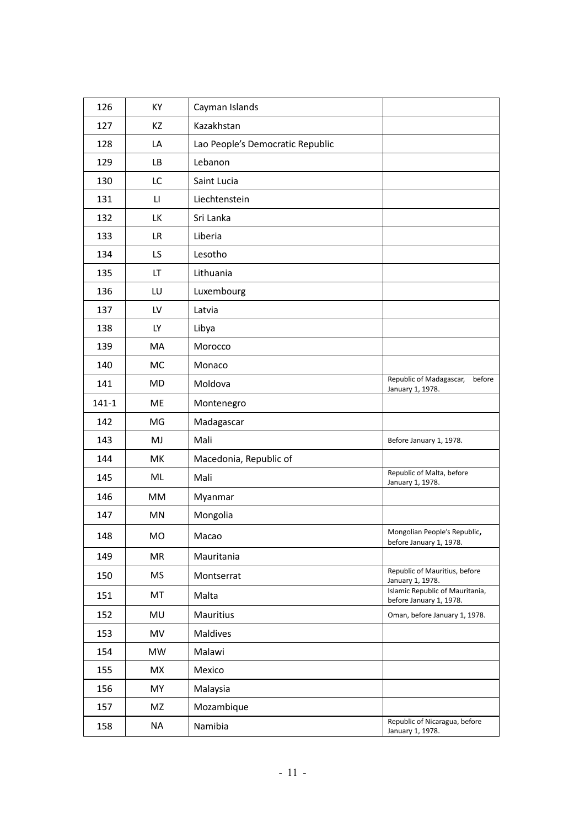| 126       | KY        | Cayman Islands                   |                                                            |
|-----------|-----------|----------------------------------|------------------------------------------------------------|
| 127       | ΚZ        | Kazakhstan                       |                                                            |
| 128       | LA        | Lao People's Democratic Republic |                                                            |
| 129       | LB.       | Lebanon                          |                                                            |
| 130       | LC        | Saint Lucia                      |                                                            |
| 131       | П         | Liechtenstein                    |                                                            |
| 132       | LK        | Sri Lanka                        |                                                            |
| 133       | LR.       | Liberia                          |                                                            |
| 134       | LS.       | Lesotho                          |                                                            |
| 135       | LT        | Lithuania                        |                                                            |
| 136       | LU        | Luxembourg                       |                                                            |
| 137       | LV        | Latvia                           |                                                            |
| 138       | LY.       | Libya                            |                                                            |
| 139       | MA        | Morocco                          |                                                            |
| 140       | MC        | Monaco                           |                                                            |
| 141       | MD        | Moldova                          | Republic of Madagascar,<br>before<br>January 1, 1978.      |
| $141 - 1$ | ME        | Montenegro                       |                                                            |
| 142       | MG        | Madagascar                       |                                                            |
| 143       | MJ        | Mali                             | Before January 1, 1978.                                    |
| 144       | МK        | Macedonia, Republic of           |                                                            |
| 145       | ML        | Mali                             | Republic of Malta, before<br>January 1, 1978.              |
| 146       | МM        | Myanmar                          |                                                            |
| 147       | MN        | Mongolia                         |                                                            |
| 148       | MO        | Macao                            | Mongolian People's Republic,<br>before January 1, 1978.    |
| 149       | MR        | Mauritania                       |                                                            |
| 150       | <b>MS</b> | Montserrat                       | Republic of Mauritius, before<br>January 1, 1978.          |
| 151       | MT        | Malta                            | Islamic Republic of Mauritania,<br>before January 1, 1978. |
| 152       | MU        | Mauritius                        | Oman, before January 1, 1978.                              |
| 153       | MV        | Maldives                         |                                                            |
| 154       | <b>MW</b> | Malawi                           |                                                            |
| 155       | MX        | Mexico                           |                                                            |
| 156       | MY        | Malaysia                         |                                                            |
| 157       | MZ        | Mozambique                       |                                                            |
| 158       | <b>NA</b> | Namibia                          | Republic of Nicaragua, before<br>January 1, 1978.          |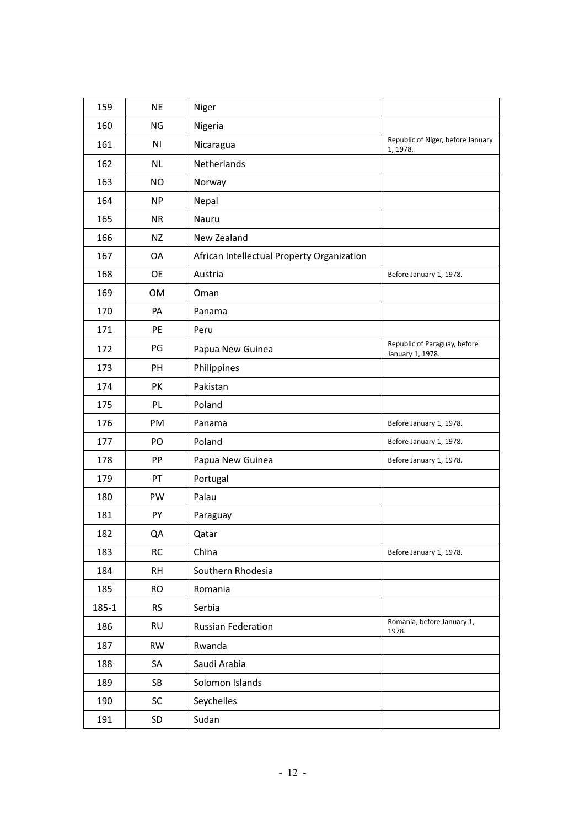| 159   | <b>NE</b>      | Niger                                      |                                                  |
|-------|----------------|--------------------------------------------|--------------------------------------------------|
| 160   | NG             | Nigeria                                    |                                                  |
| 161   | N <sub>1</sub> | Nicaragua                                  | Republic of Niger, before January<br>1, 1978.    |
| 162   | <b>NL</b>      | Netherlands                                |                                                  |
| 163   | <b>NO</b>      | Norway                                     |                                                  |
| 164   | <b>NP</b>      | Nepal                                      |                                                  |
| 165   | <b>NR</b>      | Nauru                                      |                                                  |
| 166   | NZ             | New Zealand                                |                                                  |
| 167   | OA             | African Intellectual Property Organization |                                                  |
| 168   | <b>OE</b>      | Austria                                    | Before January 1, 1978.                          |
| 169   | OM             | Oman                                       |                                                  |
| 170   | PA             | Panama                                     |                                                  |
| 171   | PE             | Peru                                       |                                                  |
| 172   | PG             | Papua New Guinea                           | Republic of Paraguay, before<br>January 1, 1978. |
| 173   | PH             | Philippines                                |                                                  |
| 174   | PK             | Pakistan                                   |                                                  |
| 175   | PL             | Poland                                     |                                                  |
| 176   | PM             | Panama                                     | Before January 1, 1978.                          |
| 177   | PO             | Poland                                     | Before January 1, 1978.                          |
| 178   | PP             | Papua New Guinea                           | Before January 1, 1978.                          |
| 179   | PT             | Portugal                                   |                                                  |
| 180   | PW             | Palau                                      |                                                  |
| 181   | PY             | Paraguay                                   |                                                  |
| 182   | QA             | Qatar                                      |                                                  |
| 183   | <b>RC</b>      | China                                      | Before January 1, 1978.                          |
| 184   | <b>RH</b>      | Southern Rhodesia                          |                                                  |
| 185   | <b>RO</b>      | Romania                                    |                                                  |
| 185-1 | <b>RS</b>      | Serbia                                     |                                                  |
| 186   | <b>RU</b>      | <b>Russian Federation</b>                  | Romania, before January 1,<br>1978.              |
| 187   | <b>RW</b>      | Rwanda                                     |                                                  |
| 188   | SA             | Saudi Arabia                               |                                                  |
| 189   | SB             | Solomon Islands                            |                                                  |
| 190   | SC             | Seychelles                                 |                                                  |
| 191   | SD             | Sudan                                      |                                                  |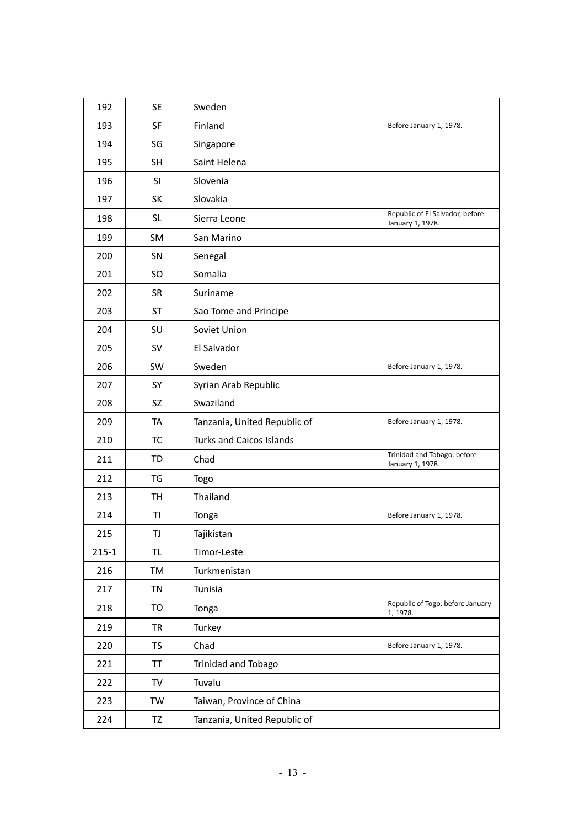| 192       | <b>SE</b> | Sweden                          |                                                     |
|-----------|-----------|---------------------------------|-----------------------------------------------------|
| 193       | SF        | Finland                         | Before January 1, 1978.                             |
| 194       | SG        | Singapore                       |                                                     |
| 195       | <b>SH</b> | Saint Helena                    |                                                     |
| 196       | <b>SI</b> | Slovenia                        |                                                     |
| 197       | SK        | Slovakia                        |                                                     |
| 198       | <b>SL</b> | Sierra Leone                    | Republic of El Salvador, before<br>January 1, 1978. |
| 199       | SM        | San Marino                      |                                                     |
| 200       | SN        | Senegal                         |                                                     |
| 201       | <b>SO</b> | Somalia                         |                                                     |
| 202       | <b>SR</b> | Suriname                        |                                                     |
| 203       | ST        | Sao Tome and Principe           |                                                     |
| 204       | SU        | Soviet Union                    |                                                     |
| 205       | SV        | El Salvador                     |                                                     |
| 206       | SW        | Sweden                          | Before January 1, 1978.                             |
| 207       | SY        | Syrian Arab Republic            |                                                     |
| 208       | SZ        | Swaziland                       |                                                     |
| 209       | TA        | Tanzania, United Republic of    | Before January 1, 1978.                             |
| 210       | TC        | <b>Turks and Caicos Islands</b> |                                                     |
| 211       | TD        | Chad                            | Trinidad and Tobago, before<br>January 1, 1978.     |
| 212       | TG        | <b>Togo</b>                     |                                                     |
| 213       | <b>TH</b> | Thailand                        |                                                     |
| 214       | TI        | Tonga                           | Before January 1, 1978.                             |
| 215       | TJ        | Tajikistan                      |                                                     |
| $215 - 1$ | TL        | Timor-Leste                     |                                                     |
| 216       | TM        | Turkmenistan                    |                                                     |
| 217       | TN        | Tunisia                         |                                                     |
| 218       | TO        | Tonga                           | Republic of Togo, before January<br>1, 1978.        |
| 219       | TR        | Turkey                          |                                                     |
| 220       | <b>TS</b> | Chad                            | Before January 1, 1978.                             |
| 221       | TT        | <b>Trinidad and Tobago</b>      |                                                     |
| 222       | TV        | Tuvalu                          |                                                     |
| 223       | TW        | Taiwan, Province of China       |                                                     |
| 224       | TZ        | Tanzania, United Republic of    |                                                     |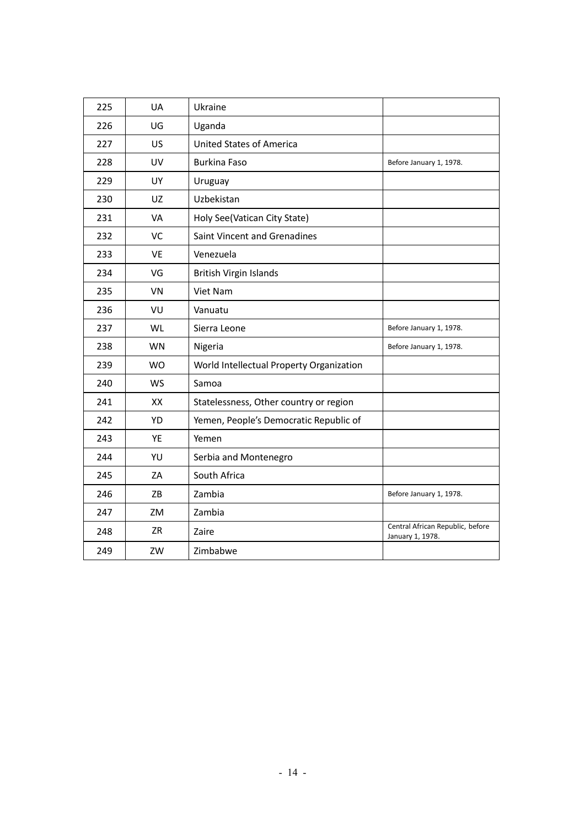| 225 | <b>UA</b> | Ukraine                                  |                                                      |
|-----|-----------|------------------------------------------|------------------------------------------------------|
| 226 | UG        | Uganda                                   |                                                      |
| 227 | <b>US</b> | <b>United States of America</b>          |                                                      |
| 228 | <b>UV</b> | <b>Burkina Faso</b>                      | Before January 1, 1978.                              |
| 229 | <b>UY</b> | Uruguay                                  |                                                      |
| 230 | UZ.       | Uzbekistan                               |                                                      |
| 231 | <b>VA</b> | Holy See(Vatican City State)             |                                                      |
| 232 | VC        | Saint Vincent and Grenadines             |                                                      |
| 233 | <b>VE</b> | Venezuela                                |                                                      |
| 234 | VG        | <b>British Virgin Islands</b>            |                                                      |
| 235 | <b>VN</b> | Viet Nam                                 |                                                      |
| 236 | VU        | Vanuatu                                  |                                                      |
| 237 | WL        | Sierra Leone                             | Before January 1, 1978.                              |
| 238 | WN        | Nigeria                                  | Before January 1, 1978.                              |
| 239 | <b>WO</b> | World Intellectual Property Organization |                                                      |
| 240 | <b>WS</b> | Samoa                                    |                                                      |
| 241 | XX        | Statelessness, Other country or region   |                                                      |
| 242 | <b>YD</b> | Yemen, People's Democratic Republic of   |                                                      |
| 243 | YE        | Yemen                                    |                                                      |
| 244 | YU        | Serbia and Montenegro                    |                                                      |
| 245 | ZA        | South Africa                             |                                                      |
| 246 | ZB        | Zambia                                   | Before January 1, 1978.                              |
| 247 | ZM        | Zambia                                   |                                                      |
| 248 | ZR        | Zaire                                    | Central African Republic, before<br>January 1, 1978. |
| 249 | ZW        | Zimbabwe                                 |                                                      |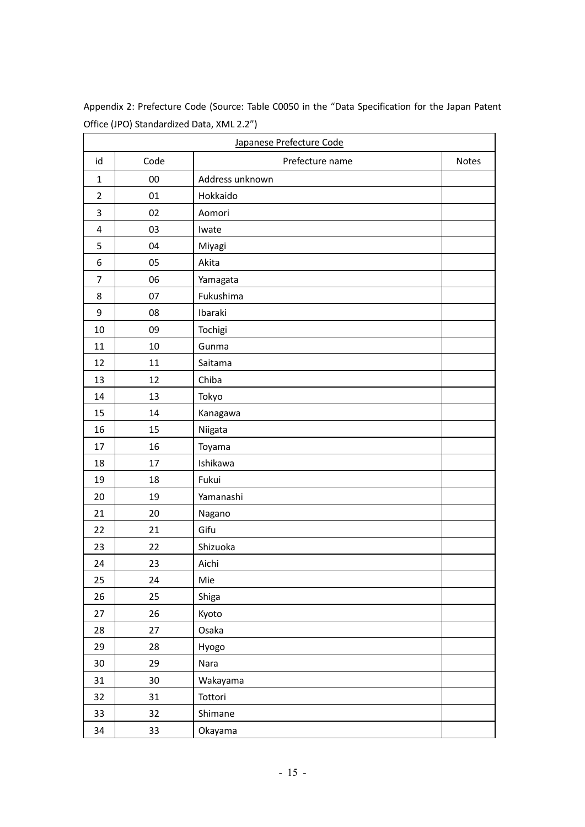| Japanese Prefecture Code |      |                 |       |  |
|--------------------------|------|-----------------|-------|--|
| id                       | Code | Prefecture name | Notes |  |
| $\mathbf{1}$             | 00   | Address unknown |       |  |
| $\overline{2}$           | 01   | Hokkaido        |       |  |
| 3                        | 02   | Aomori          |       |  |
| 4                        | 03   | Iwate           |       |  |
| 5                        | 04   | Miyagi          |       |  |
| 6                        | 05   | Akita           |       |  |
| $\overline{7}$           | 06   | Yamagata        |       |  |
| 8                        | 07   | Fukushima       |       |  |
| 9                        | 08   | Ibaraki         |       |  |
| 10                       | 09   | Tochigi         |       |  |
| 11                       | 10   | Gunma           |       |  |
| 12                       | 11   | Saitama         |       |  |
| 13                       | 12   | Chiba           |       |  |
| 14                       | 13   | Tokyo           |       |  |
| 15                       | 14   | Kanagawa        |       |  |
| 16                       | 15   | Niigata         |       |  |
| 17                       | 16   | Toyama          |       |  |
| 18                       | 17   | Ishikawa        |       |  |
| 19                       | 18   | Fukui           |       |  |
| 20                       | 19   | Yamanashi       |       |  |
| 21                       | 20   | Nagano          |       |  |
| 22                       | 21   | Gifu            |       |  |
| 23                       | 22   | Shizuoka        |       |  |
| 24                       | 23   | Aichi           |       |  |
| 25                       | 24   | Mie             |       |  |
| 26                       | 25   | Shiga           |       |  |
| 27                       | 26   | Kyoto           |       |  |
| 28                       | 27   | Osaka           |       |  |
| 29                       | 28   | Hyogo           |       |  |
| 30                       | 29   | Nara            |       |  |
| 31                       | 30   | Wakayama        |       |  |
| 32                       | 31   | Tottori         |       |  |
| 33                       | 32   | Shimane         |       |  |
| 34                       | 33   | Okayama         |       |  |

Appendix 2: Prefecture Code (Source: Table C0050 in the "Data Specification for the Japan Patent Office (JPO) Standardized Data, XML 2.2")